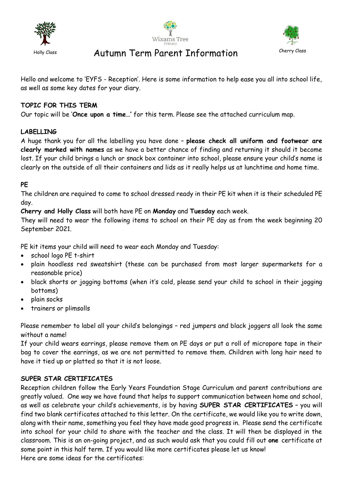





# Holly Class **Autumn Term Parent Information** Cherry Class

Hello and welcome to 'EYFS - Reception'. Here is some information to help ease you all into school life, as well as some key dates for your diary.

# **TOPIC FOR THIS TERM**

Our topic will be '**Once upon a time…'** for this term. Please see the attached curriculum map.

# **LABELLING**

A huge thank you for all the labelling you have done – **please check all uniform and footwear are clearly marked with names** as we have a better chance of finding and returning it should it become lost. If your child brings a lunch or snack box container into school, please ensure your child's name is clearly on the outside of all their containers and lids as it really helps us at lunchtime and home time.

### **PE**

The children are required to come to school dressed ready in their PE kit when it is their scheduled PE day.

**Cherry and Holly Class** will both have PE on **Monday** and **Tuesday** each week.

They will need to wear the following items to school on their PE day as from the week beginning 20 September 2021.

PE kit items your child will need to wear each Monday and Tuesday:

- school logo PE t-shirt
- plain hoodless red sweatshirt (these can be purchased from most larger supermarkets for a reasonable price)
- black shorts or jogging bottoms (when it's cold, please send your child to school in their jogging bottoms)
- plain socks
- trainers or plimsolls

Please remember to label all your child's belongings – red jumpers and black joggers all look the same without a name!

If your child wears earrings, please remove them on PE days or put a roll of micropore tape in their bag to cover the earrings, as we are not permitted to remove them. Children with long hair need to have it tied up or platted so that it is not loose.

#### **SUPER STAR CERTIFICATES**

Reception children follow the Early Years Foundation Stage Curriculum and parent contributions are greatly valued. One way we have found that helps to support communication between home and school, as well as celebrate your child's achievements, is by having **SUPER STAR CERTIFICATES** – you will find two blank certificates attached to this letter. On the certificate, we would like you to write down, along with their name, something you feel they have made good progress in. Please send the certificate into school for your child to share with the teacher and the class. It will then be displayed in the classroom. This is an on-going project, and as such would ask that you could fill out **one** certificate at some point in this half term. If you would like more certificates please let us know! Here are some ideas for the certificates: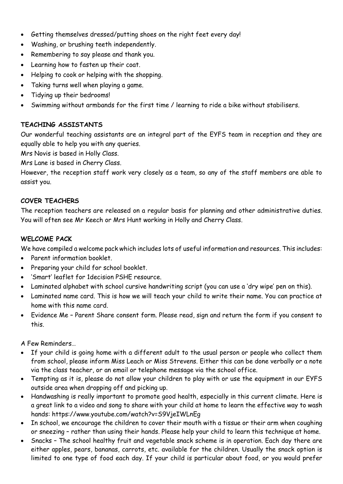- Getting themselves dressed/putting shoes on the right feet every day!
- Washing, or brushing teeth independently.
- Remembering to say please and thank you.
- Learning how to fasten up their coat.
- Helping to cook or helping with the shopping.
- Taking turns well when playing a game.
- Tidying up their bedrooms!
- Swimming without armbands for the first time / learning to ride a bike without stabilisers.

# **TEACHING ASSISTANTS**

Our wonderful teaching assistants are an integral part of the EYFS team in reception and they are equally able to help you with any queries.

Mrs Novis is based in Holly Class.

Mrs Lane is based in Cherry Class.

However, the reception staff work very closely as a team, so any of the staff members are able to assist you.

# **COVER TEACHERS**

The reception teachers are released on a regular basis for planning and other administrative duties. You will often see Mr Keech or Mrs Hunt working in Holly and Cherry Class.

## **WELCOME PACK**

We have compiled a welcome pack which includes lots of useful information and resources. This includes:

- Parent information booklet.
- Preparing your child for school booklet.
- 'Smart' leaflet for 1decision PSHE resource.
- Laminated alphabet with school cursive handwriting script (you can use a 'dry wipe' pen on this).
- Laminated name card. This is how we will teach your child to write their name. You can practice at home with this name card.
- Evidence Me Parent Share consent form. Please read, sign and return the form if you consent to this.

A Few Reminders…

- If your child is going home with a different adult to the usual person or people who collect them from school, please inform Miss Leach or Miss Strevens. Either this can be done verbally or a note via the class teacher, or an email or telephone message via the school office.
- Tempting as it is, please do not allow your children to play with or use the equipment in our EYFS outside area when dropping off and picking up.
- Handwashing is really important to promote good health, especially in this current climate. Here is a great link to a video and song to share with your child at home to learn the effective way to wash hands: https://www.youtube.com/watch?v=S9VjeIWLnEg
- In school, we encourage the children to cover their mouth with a tissue or their arm when coughing or sneezing – rather than using their hands. Please help your child to learn this technique at home.
- Snacks The school healthy fruit and vegetable snack scheme is in operation. Each day there are either apples, pears, bananas, carrots, etc. available for the children. Usually the snack option is limited to one type of food each day. If your child is particular about food, or you would prefer